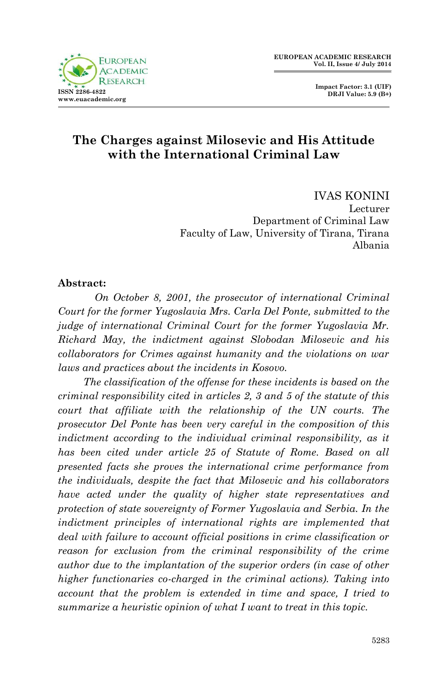

 **Impact Factor: 3.1 (UIF) DRJI Value: 5.9 (B+)**

## **The Charges against Milosevic and His Attitude with the International Criminal Law**

IVAS KONINI Lecturer Department of Criminal Law Faculty of Law, University of Tirana, Tirana Albania

#### **Abstract:**

*On October 8, 2001, the prosecutor of international Criminal Court for the former Yugoslavia Mrs. Carla Del Ponte, submitted to the judge of international Criminal Court for the former Yugoslavia Mr. Richard May, the indictment against Slobodan Milosevic and his collaborators for Crimes against humanity and the violations on war laws and practices about the incidents in Kosovo.*

 *The classification of the offense for these incidents is based on the criminal responsibility cited in articles 2, 3 and 5 of the statute of this court that affiliate with the relationship of the UN courts. The prosecutor Del Ponte has been very careful in the composition of this indictment according to the individual criminal responsibility, as it has been cited under article 25 of Statute of Rome. Based on all presented facts she proves the international crime performance from the individuals, despite the fact that Milosevic and his collaborators have acted under the quality of higher state representatives and protection of state sovereignty of Former Yugoslavia and Serbia. In the indictment principles of international rights are implemented that deal with failure to account official positions in crime classification or reason for exclusion from the criminal responsibility of the crime author due to the implantation of the superior orders (in case of other higher functionaries co-charged in the criminal actions). Taking into account that the problem is extended in time and space, I tried to summarize a heuristic opinion of what I want to treat in this topic.*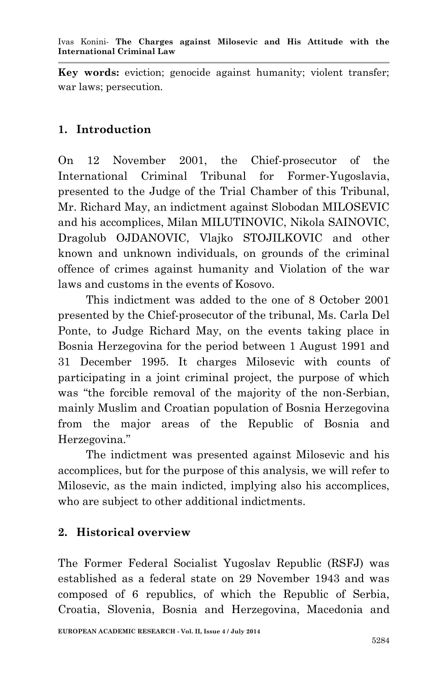**Key words:** eviction; genocide against humanity; violent transfer; war laws; persecution*.*

#### **1. Introduction**

On 12 November 2001, the Chief-prosecutor of the International Criminal Tribunal for Former-Yugoslavia, presented to the Judge of the Trial Chamber of this Tribunal, Mr. Richard May, an indictment against Slobodan MILOSEVIC and his accomplices, Milan MILUTINOVIC, Nikola SAINOVIC, Dragolub OJDANOVIC, Vlajko STOJILKOVIC and other known and unknown individuals, on grounds of the criminal offence of crimes against humanity and Violation of the war laws and customs in the events of Kosovo.

 This indictment was added to the one of 8 October 2001 presented by the Chief-prosecutor of the tribunal, Ms. Carla Del Ponte, to Judge Richard May, on the events taking place in Bosnia Herzegovina for the period between 1 August 1991 and 31 December 1995. It charges Milosevic with counts of participating in a joint criminal project, the purpose of which was "the forcible removal of the majority of the non-Serbian, mainly Muslim and Croatian population of Bosnia Herzegovina from the major areas of the Republic of Bosnia and Herzegovina."

 The indictment was presented against Milosevic and his accomplices, but for the purpose of this analysis, we will refer to Milosevic, as the main indicted, implying also his accomplices, who are subject to other additional indictments.

### **2. Historical overview**

The Former Federal Socialist Yugoslav Republic (RSFJ) was established as a federal state on 29 November 1943 and was composed of 6 republics, of which the Republic of Serbia, Croatia, Slovenia, Bosnia and Herzegovina, Macedonia and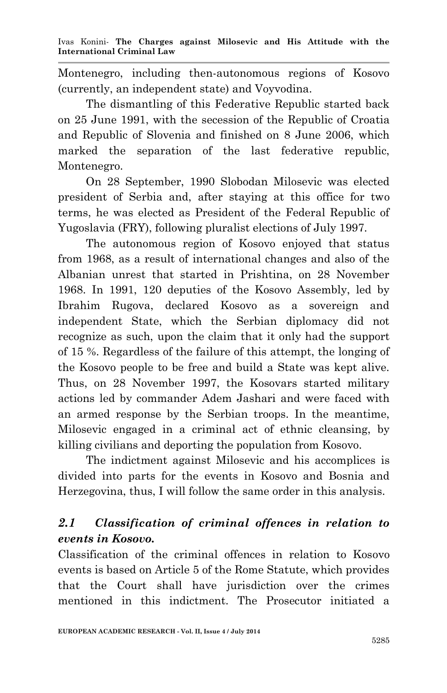Montenegro, including then-autonomous regions of Kosovo (currently, an independent state) and Voyvodina.

 The dismantling of this Federative Republic started back on 25 June 1991, with the secession of the Republic of Croatia and Republic of Slovenia and finished on 8 June 2006, which marked the separation of the last federative republic, Montenegro.

 On 28 September, 1990 Slobodan Milosevic was elected president of Serbia and, after staying at this office for two terms, he was elected as President of the Federal Republic of Yugoslavia (FRY), following pluralist elections of July 1997.

 The autonomous region of Kosovo enjoyed that status from 1968, as a result of international changes and also of the Albanian unrest that started in Prishtina, on 28 November 1968. In 1991, 120 deputies of the Kosovo Assembly, led by Ibrahim Rugova, declared Kosovo as a sovereign and independent State, which the Serbian diplomacy did not recognize as such, upon the claim that it only had the support of 15 %. Regardless of the failure of this attempt, the longing of the Kosovo people to be free and build a State was kept alive. Thus, on 28 November 1997, the Kosovars started military actions led by commander Adem Jashari and were faced with an armed response by the Serbian troops. In the meantime, Milosevic engaged in a criminal act of ethnic cleansing, by killing civilians and deporting the population from Kosovo.

 The indictment against Milosevic and his accomplices is divided into parts for the events in Kosovo and Bosnia and Herzegovina, thus, I will follow the same order in this analysis.

## *2.1 Classification of criminal offences in relation to events in Kosovo.*

Classification of the criminal offences in relation to Kosovo events is based on Article 5 of the Rome Statute, which provides that the Court shall have jurisdiction over the crimes mentioned in this indictment. The Prosecutor initiated a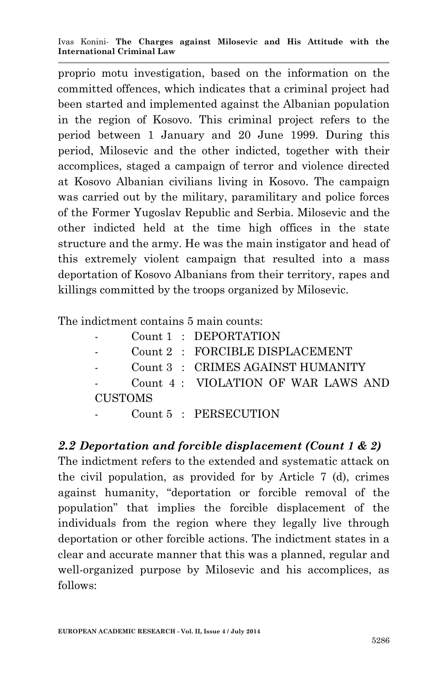proprio motu investigation, based on the information on the committed offences, which indicates that a criminal project had been started and implemented against the Albanian population in the region of Kosovo. This criminal project refers to the period between 1 January and 20 June 1999. During this period, Milosevic and the other indicted, together with their accomplices, staged a campaign of terror and violence directed at Kosovo Albanian civilians living in Kosovo. The campaign was carried out by the military, paramilitary and police forces of the Former Yugoslav Republic and Serbia. Milosevic and the other indicted held at the time high offices in the state structure and the army. He was the main instigator and head of this extremely violent campaign that resulted into a mass deportation of Kosovo Albanians from their territory, rapes and killings committed by the troops organized by Milosevic.

The indictment contains 5 main counts:

|                          |  | Count 1 : DEPORTATION              |
|--------------------------|--|------------------------------------|
|                          |  | Count 2 : FORCIBLE DISPLACEMENT    |
|                          |  | Count 3 : CRIMES AGAINST HUMANITY  |
|                          |  | Count 4: VIOLATION OF WAR LAWS AND |
| CUSTOMS                  |  |                                    |
| <b>Contract Contract</b> |  | Count 5 : PERSECUTION              |

#### *2.2 Deportation and forcible displacement (Count 1 & 2)*

The indictment refers to the extended and systematic attack on the civil population, as provided for by Article 7 (d), crimes against humanity, "deportation or forcible removal of the population" that implies the forcible displacement of the individuals from the region where they legally live through deportation or other forcible actions. The indictment states in a clear and accurate manner that this was a planned, regular and well-organized purpose by Milosevic and his accomplices, as follows: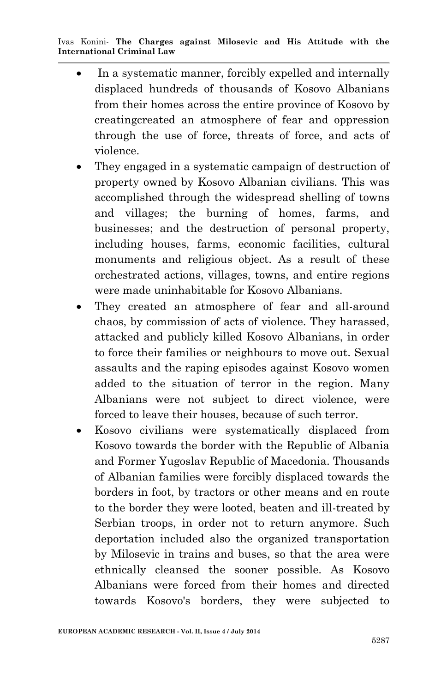- In a systematic manner, forcibly expelled and internally displaced hundreds of thousands of Kosovo Albanians from their homes across the entire province of Kosovo by creatingcreated an atmosphere of fear and oppression through the use of force, threats of force, and acts of violence.
- They engaged in a systematic campaign of destruction of property owned by Kosovo Albanian civilians. This was accomplished through the widespread shelling of towns and villages; the burning of homes, farms, and businesses; and the destruction of personal property, including houses, farms, economic facilities, cultural monuments and religious object. As a result of these orchestrated actions, villages, towns, and entire regions were made uninhabitable for Kosovo Albanians.
- They created an atmosphere of fear and all-around chaos, by commission of acts of violence. They harassed, attacked and publicly killed Kosovo Albanians, in order to force their families or neighbours to move out. Sexual assaults and the raping episodes against Kosovo women added to the situation of terror in the region. Many Albanians were not subject to direct violence, were forced to leave their houses, because of such terror.
- Kosovo civilians were systematically displaced from Kosovo towards the border with the Republic of Albania and Former Yugoslav Republic of Macedonia. Thousands of Albanian families were forcibly displaced towards the borders in foot, by tractors or other means and en route to the border they were looted, beaten and ill-treated by Serbian troops, in order not to return anymore. Such deportation included also the organized transportation by Milosevic in trains and buses, so that the area were ethnically cleansed the sooner possible. As Kosovo Albanians were forced from their homes and directed towards Kosovo's borders, they were subjected to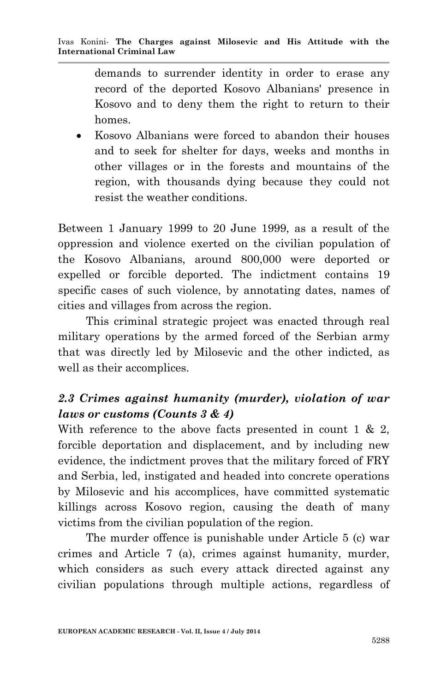demands to surrender identity in order to erase any record of the deported Kosovo Albanians' presence in Kosovo and to deny them the right to return to their homes.

• Kosovo Albanians were forced to abandon their houses and to seek for shelter for days, weeks and months in other villages or in the forests and mountains of the region, with thousands dying because they could not resist the weather conditions.

Between 1 January 1999 to 20 June 1999, as a result of the oppression and violence exerted on the civilian population of the Kosovo Albanians, around 800,000 were deported or expelled or forcible deported. The indictment contains 19 specific cases of such violence, by annotating dates, names of cities and villages from across the region.

 This criminal strategic project was enacted through real military operations by the armed forced of the Serbian army that was directly led by Milosevic and the other indicted, as well as their accomplices.

# *2.3 Crimes against humanity (murder), violation of war laws or customs (Counts 3 & 4)*

With reference to the above facts presented in count  $1 \& 2$ , forcible deportation and displacement, and by including new evidence, the indictment proves that the military forced of FRY and Serbia, led, instigated and headed into concrete operations by Milosevic and his accomplices, have committed systematic killings across Kosovo region, causing the death of many victims from the civilian population of the region.

 The murder offence is punishable under Article 5 (c) war crimes and Article 7 (a), crimes against humanity, murder, which considers as such every attack directed against any civilian populations through multiple actions, regardless of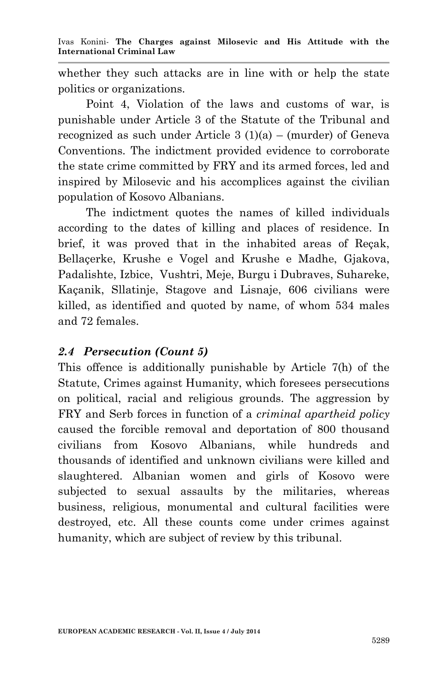whether they such attacks are in line with or help the state politics or organizations.

 Point 4, Violation of the laws and customs of war, is punishable under Article 3 of the Statute of the Tribunal and recognized as such under Article  $3(1)(a)$  – (murder) of Geneva Conventions. The indictment provided evidence to corroborate the state crime committed by FRY and its armed forces, led and inspired by Milosevic and his accomplices against the civilian population of Kosovo Albanians.

 The indictment quotes the names of killed individuals according to the dates of killing and places of residence. In brief, it was proved that in the inhabited areas of Reçak, Bellaçerke, Krushe e Vogel and Krushe e Madhe, Gjakova, Padalishte, Izbice, Vushtri, Meje, Burgu i Dubraves, Suhareke, Kaçanik, Sllatinje, Stagove and Lisnaje, 606 civilians were killed, as identified and quoted by name, of whom 534 males and 72 females.

#### *2.4 Persecution (Count 5)*

This offence is additionally punishable by Article 7(h) of the Statute, Crimes against Humanity, which foresees persecutions on political, racial and religious grounds. The aggression by FRY and Serb forces in function of a *criminal apartheid policy* caused the forcible removal and deportation of 800 thousand civilians from Kosovo Albanians, while hundreds and thousands of identified and unknown civilians were killed and slaughtered. Albanian women and girls of Kosovo were subjected to sexual assaults by the militaries, whereas business, religious, monumental and cultural facilities were destroyed, etc. All these counts come under crimes against humanity, which are subject of review by this tribunal.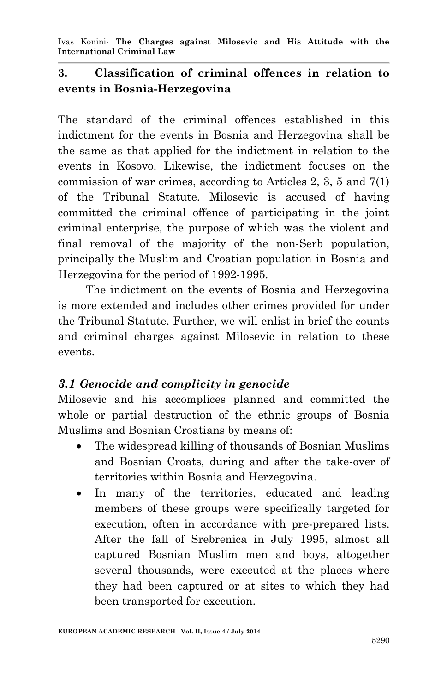#### **3. Classification of criminal offences in relation to events in Bosnia-Herzegovina**

The standard of the criminal offences established in this indictment for the events in Bosnia and Herzegovina shall be the same as that applied for the indictment in relation to the events in Kosovo. Likewise, the indictment focuses on the commission of war crimes, according to Articles 2, 3, 5 and 7(1) of the Tribunal Statute. Milosevic is accused of having committed the criminal offence of participating in the joint criminal enterprise, the purpose of which was the violent and final removal of the majority of the non-Serb population, principally the Muslim and Croatian population in Bosnia and Herzegovina for the period of 1992-1995.

 The indictment on the events of Bosnia and Herzegovina is more extended and includes other crimes provided for under the Tribunal Statute. Further, we will enlist in brief the counts and criminal charges against Milosevic in relation to these events.

### *3.1 Genocide and complicity in genocide*

Milosevic and his accomplices planned and committed the whole or partial destruction of the ethnic groups of Bosnia Muslims and Bosnian Croatians by means of:

- The widespread killing of thousands of Bosnian Muslims and Bosnian Croats, during and after the take-over of territories within Bosnia and Herzegovina.
- In many of the territories, educated and leading members of these groups were specifically targeted for execution, often in accordance with pre-prepared lists. After the fall of Srebrenica in July 1995, almost all captured Bosnian Muslim men and boys, altogether several thousands, were executed at the places where they had been captured or at sites to which they had been transported for execution.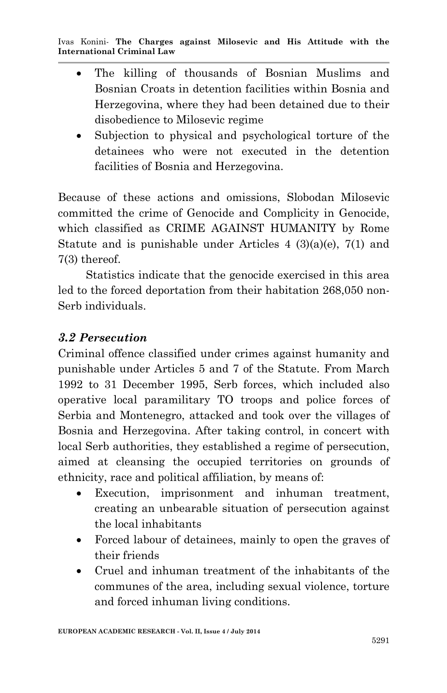- The killing of thousands of Bosnian Muslims and Bosnian Croats in detention facilities within Bosnia and Herzegovina, where they had been detained due to their disobedience to Milosevic regime
- Subjection to physical and psychological torture of the detainees who were not executed in the detention facilities of Bosnia and Herzegovina.

Because of these actions and omissions, Slobodan Milosevic committed the crime of Genocide and Complicity in Genocide, which classified as CRIME AGAINST HUMANITY by Rome Statute and is punishable under Articles  $4 \frac{3}{a}(e)$ ,  $7(1)$  and 7(3) thereof.

 Statistics indicate that the genocide exercised in this area led to the forced deportation from their habitation 268,050 non-Serb individuals.

### *3.2 Persecution*

Criminal offence classified under crimes against humanity and punishable under Articles 5 and 7 of the Statute. From March 1992 to 31 December 1995, Serb forces, which included also operative local paramilitary TO troops and police forces of Serbia and Montenegro, attacked and took over the villages of Bosnia and Herzegovina. After taking control, in concert with local Serb authorities, they established a regime of persecution, aimed at cleansing the occupied territories on grounds of ethnicity, race and political affiliation, by means of:

- Execution, imprisonment and inhuman treatment, creating an unbearable situation of persecution against the local inhabitants
- Forced labour of detainees, mainly to open the graves of their friends
- Cruel and inhuman treatment of the inhabitants of the communes of the area, including sexual violence, torture and forced inhuman living conditions.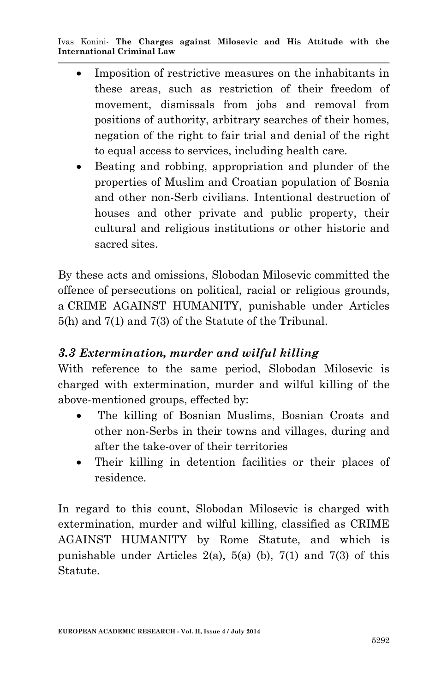- Imposition of restrictive measures on the inhabitants in these areas, such as restriction of their freedom of movement, dismissals from jobs and removal from positions of authority, arbitrary searches of their homes, negation of the right to fair trial and denial of the right to equal access to services, including health care.
- Beating and robbing, appropriation and plunder of the properties of Muslim and Croatian population of Bosnia and other non-Serb civilians. Intentional destruction of houses and other private and public property, their cultural and religious institutions or other historic and sacred sites.

By these acts and omissions, Slobodan Milosevic committed the offence of persecutions on political, racial or religious grounds, a CRIME AGAINST HUMANITY, punishable under Articles 5(h) and 7(1) and 7(3) of the Statute of the Tribunal.

### *3.3 Extermination, murder and wilful killing*

With reference to the same period, Slobodan Milosevic is charged with extermination, murder and wilful killing of the above-mentioned groups, effected by:

- The killing of Bosnian Muslims, Bosnian Croats and other non-Serbs in their towns and villages, during and after the take-over of their territories
- Their killing in detention facilities or their places of residence.

In regard to this count, Slobodan Milosevic is charged with extermination, murder and wilful killing, classified as CRIME AGAINST HUMANITY by Rome Statute, and which is punishable under Articles  $2(a)$ ,  $5(a)$  (b),  $7(1)$  and  $7(3)$  of this Statute.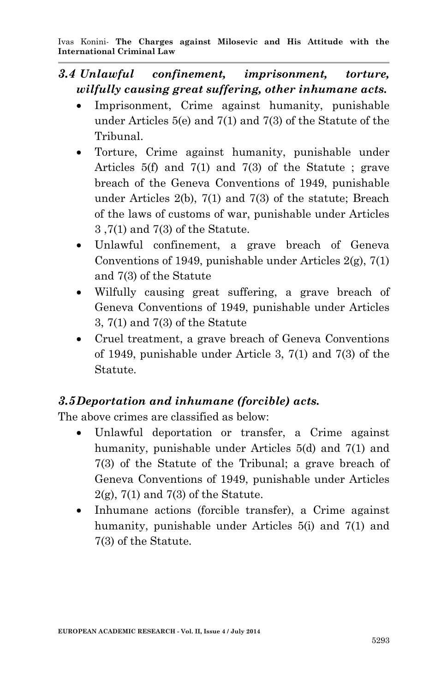- *3.4 Unlawful confinement, imprisonment, torture, wilfully causing great suffering, other inhumane acts.*
	- Imprisonment, Crime against humanity, punishable under Articles 5(e) and 7(1) and 7(3) of the Statute of the Tribunal.
	- Torture, Crime against humanity, punishable under Articles 5(f) and 7(1) and 7(3) of the Statute ; grave breach of the Geneva Conventions of 1949, punishable under Articles 2(b), 7(1) and 7(3) of the statute; Breach of the laws of customs of war, punishable under Articles 3 ,7(1) and 7(3) of the Statute.
	- Unlawful confinement, a grave breach of Geneva Conventions of 1949, punishable under Articles  $2(g)$ ,  $7(1)$ and 7(3) of the Statute
	- Wilfully causing great suffering, a grave breach of Geneva Conventions of 1949, punishable under Articles 3, 7(1) and 7(3) of the Statute
	- Cruel treatment, a grave breach of Geneva Conventions of 1949, punishable under Article 3, 7(1) and 7(3) of the Statute.

### *3.5Deportation and inhumane (forcible) acts.*

The above crimes are classified as below:

- Unlawful deportation or transfer, a Crime against humanity, punishable under Articles 5(d) and 7(1) and 7(3) of the Statute of the Tribunal; a grave breach of Geneva Conventions of 1949, punishable under Articles  $2(g)$ , 7(1) and 7(3) of the Statute.
- Inhumane actions (forcible transfer), a Crime against humanity, punishable under Articles 5(i) and 7(1) and 7(3) of the Statute.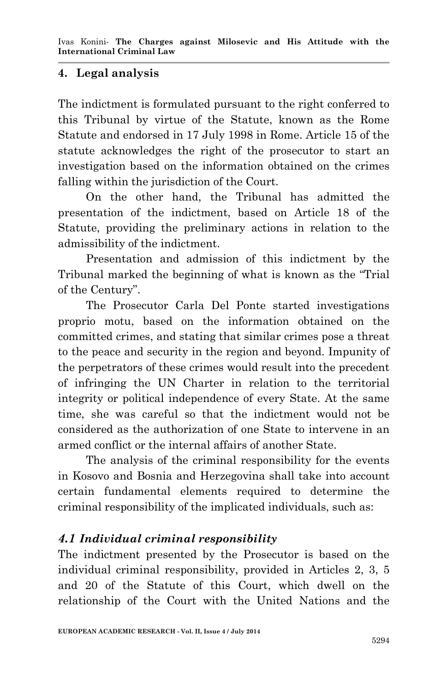### **4. Legal analysis**

The indictment is formulated pursuant to the right conferred to this Tribunal by virtue of the Statute, known as the Rome Statute and endorsed in 17 July 1998 in Rome. Article 15 of the statute acknowledges the right of the prosecutor to start an investigation based on the information obtained on the crimes falling within the jurisdiction of the Court.

 On the other hand, the Tribunal has admitted the presentation of the indictment, based on Article 18 of the Statute, providing the preliminary actions in relation to the admissibility of the indictment.

 Presentation and admission of this indictment by the Tribunal marked the beginning of what is known as the "Trial of the Century".

 The Prosecutor Carla Del Ponte started investigations proprio motu, based on the information obtained on the committed crimes, and stating that similar crimes pose a threat to the peace and security in the region and beyond. Impunity of the perpetrators of these crimes would result into the precedent of infringing the UN Charter in relation to the territorial integrity or political independence of every State. At the same time, she was careful so that the indictment would not be considered as the authorization of one State to intervene in an armed conflict or the internal affairs of another State.

 The analysis of the criminal responsibility for the events in Kosovo and Bosnia and Herzegovina shall take into account certain fundamental elements required to determine the criminal responsibility of the implicated individuals, such as:

### *4.1 Individual criminal responsibility*

The indictment presented by the Prosecutor is based on the individual criminal responsibility, provided in Articles 2, 3, 5 and 20 of the Statute of this Court, which dwell on the relationship of the Court with the United Nations and the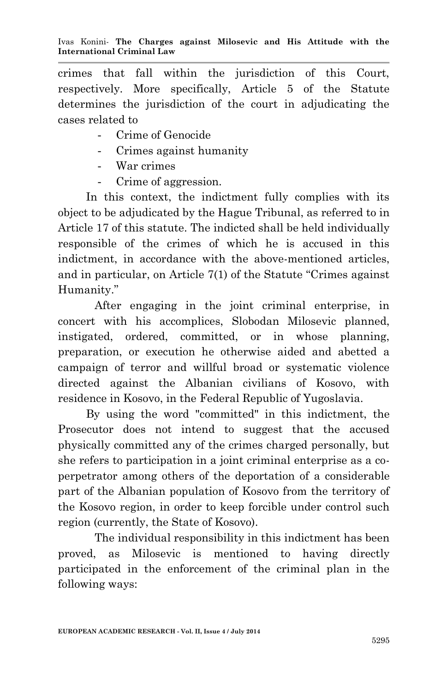crimes that fall within the jurisdiction of this Court, respectively. More specifically, Article 5 of the Statute determines the jurisdiction of the court in adjudicating the cases related to

- Crime of Genocide
- Crimes against humanity
- War crimes
- Crime of aggression.

 In this context, the indictment fully complies with its object to be adjudicated by the Hague Tribunal, as referred to in Article 17 of this statute. The indicted shall be held individually responsible of the crimes of which he is accused in this indictment, in accordance with the above-mentioned articles, and in particular, on Article 7(1) of the Statute "Crimes against Humanity."

After engaging in the joint criminal enterprise, in concert with his accomplices, Slobodan Milosevic planned, instigated, ordered, committed, or in whose planning, preparation, or execution he otherwise aided and abetted a campaign of terror and willful broad or systematic violence directed against the Albanian civilians of Kosovo, with residence in Kosovo, in the Federal Republic of Yugoslavia.

 By using the word "committed" in this indictment, the Prosecutor does not intend to suggest that the accused physically committed any of the crimes charged personally, but she refers to participation in a joint criminal enterprise as a coperpetrator among others of the deportation of a considerable part of the Albanian population of Kosovo from the territory of the Kosovo region, in order to keep forcible under control such region (currently, the State of Kosovo).

The individual responsibility in this indictment has been proved, as Milosevic is mentioned to having directly participated in the enforcement of the criminal plan in the following ways: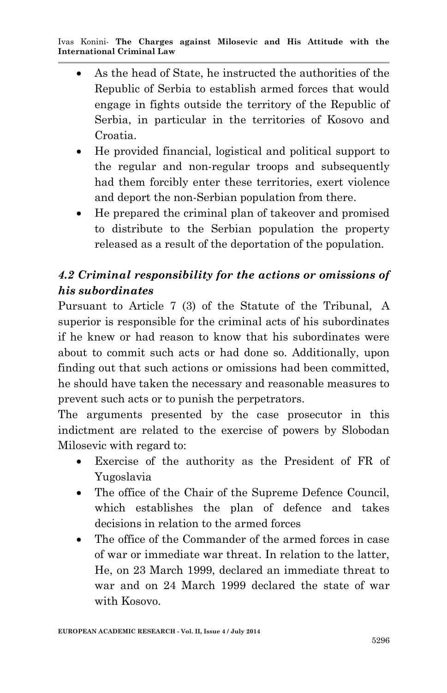- As the head of State, he instructed the authorities of the Republic of Serbia to establish armed forces that would engage in fights outside the territory of the Republic of Serbia, in particular in the territories of Kosovo and Croatia.
- He provided financial, logistical and political support to the regular and non-regular troops and subsequently had them forcibly enter these territories, exert violence and deport the non-Serbian population from there.
- He prepared the criminal plan of takeover and promised to distribute to the Serbian population the property released as a result of the deportation of the population.

# *4.2 Criminal responsibility for the actions or omissions of his subordinates*

Pursuant to Article 7 (3) of the Statute of the Tribunal, A superior is responsible for the criminal acts of his subordinates if he knew or had reason to know that his subordinates were about to commit such acts or had done so. Additionally, upon finding out that such actions or omissions had been committed, he should have taken the necessary and reasonable measures to prevent such acts or to punish the perpetrators.

The arguments presented by the case prosecutor in this indictment are related to the exercise of powers by Slobodan Milosevic with regard to:

- Exercise of the authority as the President of FR of Yugoslavia
- The office of the Chair of the Supreme Defence Council, which establishes the plan of defence and takes decisions in relation to the armed forces
- The office of the Commander of the armed forces in case of war or immediate war threat. In relation to the latter, He, on 23 March 1999, declared an immediate threat to war and on 24 March 1999 declared the state of war with Kosovo.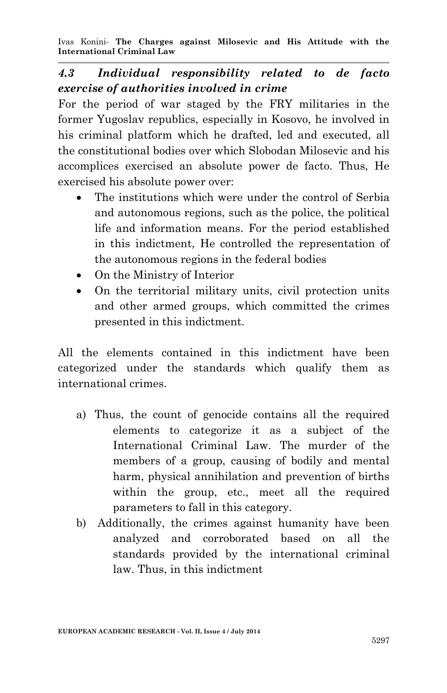## *4.3 Individual responsibility related to de facto exercise of authorities involved in crime*

For the period of war staged by the FRY militaries in the former Yugoslav republics, especially in Kosovo, he involved in his criminal platform which he drafted, led and executed, all the constitutional bodies over which Slobodan Milosevic and his accomplices exercised an absolute power de facto. Thus, He exercised his absolute power over:

- The institutions which were under the control of Serbia and autonomous regions, such as the police, the political life and information means. For the period established in this indictment, He controlled the representation of the autonomous regions in the federal bodies
- On the Ministry of Interior
- On the territorial military units, civil protection units and other armed groups, which committed the crimes presented in this indictment.

All the elements contained in this indictment have been categorized under the standards which qualify them as international crimes.

- a) Thus, the count of genocide contains all the required elements to categorize it as a subject of the International Criminal Law. The murder of the members of a group, causing of bodily and mental harm, physical annihilation and prevention of births within the group, etc., meet all the required parameters to fall in this category.
- b) Additionally, the crimes against humanity have been analyzed and corroborated based on all the standards provided by the international criminal law. Thus, in this indictment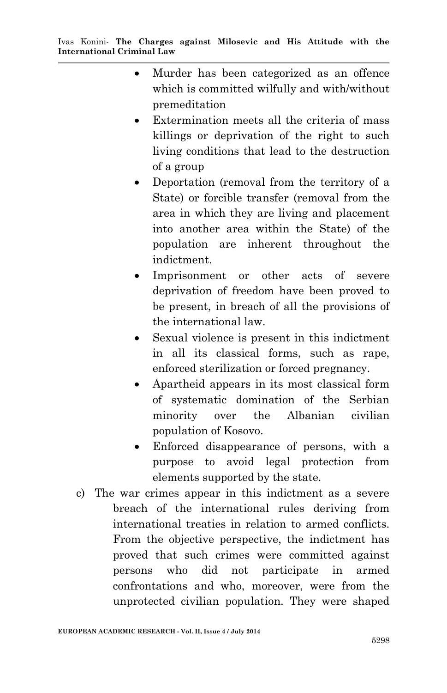- Murder has been categorized as an offence which is committed wilfully and with/without premeditation
- Extermination meets all the criteria of mass killings or deprivation of the right to such living conditions that lead to the destruction of a group
- Deportation (removal from the territory of a State) or forcible transfer (removal from the area in which they are living and placement into another area within the State) of the population are inherent throughout the indictment.
- Imprisonment or other acts of severe deprivation of freedom have been proved to be present, in breach of all the provisions of the international law.
- Sexual violence is present in this indictment in all its classical forms, such as rape, enforced sterilization or forced pregnancy.
- Apartheid appears in its most classical form of systematic domination of the Serbian minority over the Albanian civilian population of Kosovo.
- Enforced disappearance of persons, with a purpose to avoid legal protection from elements supported by the state.
- c) The war crimes appear in this indictment as a severe breach of the international rules deriving from international treaties in relation to armed conflicts. From the objective perspective, the indictment has proved that such crimes were committed against persons who did not participate in armed confrontations and who, moreover, were from the unprotected civilian population. They were shaped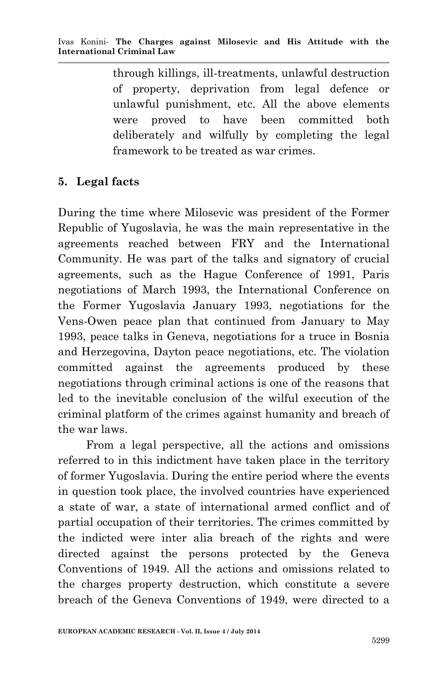through killings, ill-treatments, unlawful destruction of property, deprivation from legal defence or unlawful punishment, etc. All the above elements were proved to have been committed both deliberately and wilfully by completing the legal framework to be treated as war crimes.

#### **5. Legal facts**

During the time where Milosevic was president of the Former Republic of Yugoslavia, he was the main representative in the agreements reached between FRY and the International Community. He was part of the talks and signatory of crucial agreements, such as the Hague Conference of 1991, Paris negotiations of March 1993, the International Conference on the Former Yugoslavia January 1993, negotiations for the Vens-Owen peace plan that continued from January to May 1993, peace talks in Geneva, negotiations for a truce in Bosnia and Herzegovina, Dayton peace negotiations, etc. The violation committed against the agreements produced by these negotiations through criminal actions is one of the reasons that led to the inevitable conclusion of the wilful execution of the criminal platform of the crimes against humanity and breach of the war laws.

 From a legal perspective, all the actions and omissions referred to in this indictment have taken place in the territory of former Yugoslavia. During the entire period where the events in question took place, the involved countries have experienced a state of war, a state of international armed conflict and of partial occupation of their territories. The crimes committed by the indicted were inter alia breach of the rights and were directed against the persons protected by the Geneva Conventions of 1949. All the actions and omissions related to the charges property destruction, which constitute a severe breach of the Geneva Conventions of 1949, were directed to a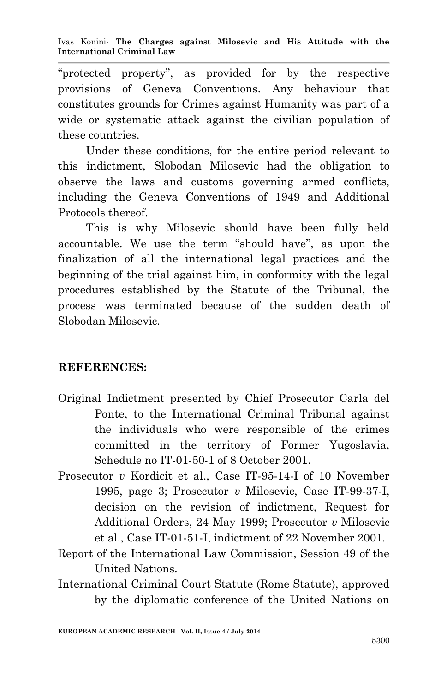"protected property", as provided for by the respective provisions of Geneva Conventions. Any behaviour that constitutes grounds for Crimes against Humanity was part of a wide or systematic attack against the civilian population of these countries.

 Under these conditions, for the entire period relevant to this indictment, Slobodan Milosevic had the obligation to observe the laws and customs governing armed conflicts, including the Geneva Conventions of 1949 and Additional Protocols thereof.

 This is why Milosevic should have been fully held accountable. We use the term "should have", as upon the finalization of all the international legal practices and the beginning of the trial against him, in conformity with the legal procedures established by the Statute of the Tribunal, the process was terminated because of the sudden death of Slobodan Milosevic.

#### **REFERENCES:**

- Original Indictment presented by Chief Prosecutor Carla del Ponte, to the International Criminal Tribunal against the individuals who were responsible of the crimes committed in the territory of Former Yugoslavia, Schedule no IT-01-50-1 of 8 October 2001.
- Prosecutor *v* Kordicit et al., Case IT-95-14-I of 10 November 1995, page 3; Prosecutor *v* Milosevic, Case IT-99-37-I, decision on the revision of indictment, Request for Additional Orders, 24 May 1999; Prosecutor *v* Milosevic et al., Case IT-01-51-I, indictment of 22 November 2001.
- Report of the International Law Commission, Session 49 of the United Nations.
- International Criminal Court Statute (Rome Statute), approved by the diplomatic conference of the United Nations on